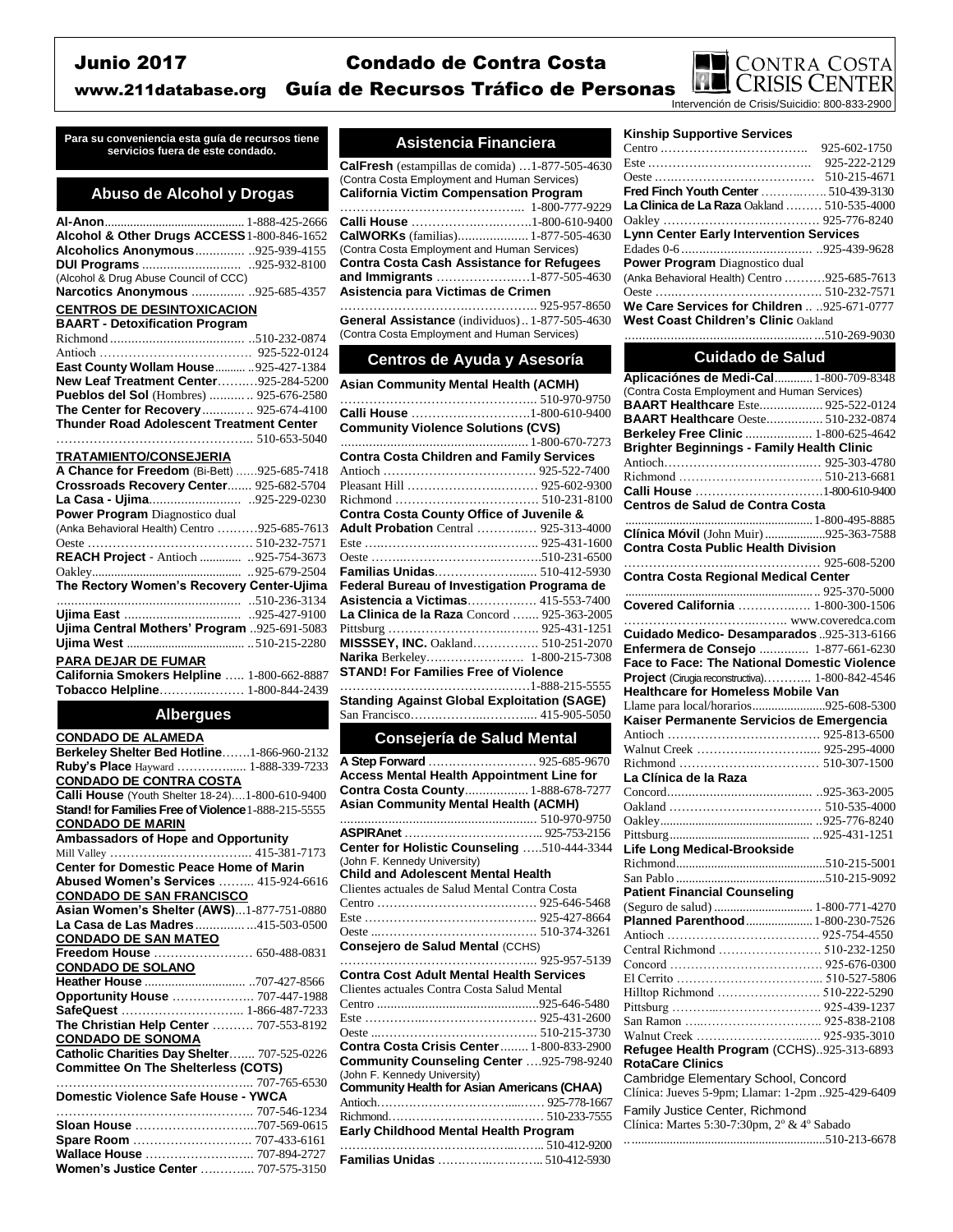# Junio 2017 Condado de Contra Costa



www.211database.org Guía de Recursos Tráfico de Personas

**Para su conveniencia esta guía de recursos tiene servicios fuera de este condado. Asistencia Financiera**

## **Abuso de Alcohol y Drogas**

| Alcohol & Other Drugs ACCESS1-800-846-1652      |              |
|-------------------------------------------------|--------------|
| Alcoholics Anonymous .925-939-4155              |              |
|                                                 |              |
| (Alcohol & Drug Abuse Council of CCC)           |              |
| Narcotics Anonymous  925-685-4357               |              |
| <b>CENTROS DE DESINTOXICACION</b>               |              |
| <b>BAART - Detoxification Program</b>           |              |
|                                                 |              |
|                                                 |              |
| East County Wollam House  925-427-1384          |              |
| New Leaf Treatment Center925-284-5200           |              |
| Pueblos del Sol (Hombres)  925-676-2580         |              |
| The Center for Recovery 925-674-4100            |              |
| Thunder Road Adolescent Treatment Center        |              |
|                                                 |              |
| <b>TRATAMIENTO/CONSEJERIA</b>                   |              |
| A Chance for Freedom (Bi-Bett) 925-685-7418     |              |
| Crossroads Recovery Center 925-682-5704         |              |
|                                                 |              |
| Power Program Diagnostico dual                  |              |
| (Anka Behavioral Health) Centro 925-685-7613    |              |
|                                                 |              |
| REACH Project - Antioch  925-754-3673           |              |
|                                                 | 925-679-2504 |
| The Rectory Women's Recovery Center-Ujima       |              |
|                                                 |              |
|                                                 |              |
| Ujima Central Mothers' Program 925-691-5083     |              |
|                                                 |              |
| <b>PARA DEJAR DE FUMAR</b>                      |              |
| California Smokers Helpline  1-800-662-8887     |              |
| Tobacco Helpline 1-800-844-2439                 |              |
|                                                 |              |
| <b>Albergues</b>                                |              |
| <b>CONDADO DE ALAMEDA</b>                       |              |
| Berkeley Shelter Bed Hotline1-866-960-2132      |              |
| Ruby's Place Hayward  1-888-339-7233            |              |
| <b>CONDADO DE CONTRA COSTA</b>                  |              |
| Calli House (Youth Shelter 18-24)1-800-610-9400 |              |

**Stand! for Families Free of Violence** 1-888-215-5555 **CONDADO DE MARIN Ambassadors of Hope and Opportunity** Mill Valley …………..………………... 415-381-7173 **Center for Domestic Peace Home of Marin Abused Women's Services** 

|                                             | $ + 1222 + 0010$ |
|---------------------------------------------|------------------|
| <b>CONDADO DE SAN FRANCISCO</b>             |                  |
| Asian Women's Shelter (AWS)1-877-751-0880   |                  |
| La Casa de Las Madres415-503-0500           |                  |
| <b>CONDADO DE SAN MATEO</b>                 |                  |
| Freedom House  650-488-0831                 |                  |
| <b>CONDADO DE SOLANO</b>                    |                  |
|                                             |                  |
| <b>Opportunity House  707-447-1988</b>      |                  |
| SafeQuest  1-866-487-7233                   |                  |
| The Christian Help Center  707-553-8192     |                  |
| <b>CONDADO DE SONOMA</b>                    |                  |
| Catholic Charities Day Shelter 707-525-0226 |                  |
| <b>Committee On The Shelterless (COTS)</b>  |                  |
|                                             |                  |
| <b>Domestic Violence Safe House - YWCA</b>  |                  |
|                                             |                  |
|                                             |                  |
|                                             |                  |
| Wallace House  707-894-2727                 |                  |
|                                             |                  |

**Women's Justice Center** ….…….... 707-575-3150

| <b>CalFresh</b> (estampillas de comida) $\dots$ 1-877-505-4630<br>(Contra Costa Employment and Human Services) |              |
|----------------------------------------------------------------------------------------------------------------|--------------|
| <b>California Victim Compensation Program</b>                                                                  |              |
|                                                                                                                |              |
| Calli House …………………………1-800-610-9400                                                                           |              |
| <b>CalWORKs</b> (familias) 1-877-505-4630                                                                      |              |
| (Contra Costa Employment and Human Services)                                                                   |              |
| <b>Contra Costa Cash Assistance for Refugees</b>                                                               |              |
| and Immigrants 1-877-505-4630                                                                                  |              |
| Asistencia para Victimas de Crimen                                                                             |              |
|                                                                                                                | 925-957-8650 |
|                                                                                                                |              |

**General Assistance** (individuos).. 1-877-505-4630 (Contra Costa Employment and Human Services)

## **Centros de Ayuda y Asesoría**

| <b>Asian Community Mental Health (ACMH)</b>      |  |  |
|--------------------------------------------------|--|--|
|                                                  |  |  |
| Calli House 1-800-610-9400                       |  |  |
| <b>Community Violence Solutions (CVS)</b>        |  |  |
|                                                  |  |  |
| <b>Contra Costa Children and Family Services</b> |  |  |
|                                                  |  |  |
|                                                  |  |  |
|                                                  |  |  |
| Contra Costa County Office of Juvenile &         |  |  |
| <b>Adult Probation</b> Central  925-313-4000     |  |  |
|                                                  |  |  |
|                                                  |  |  |
| Familias Unidas 510-412-5930                     |  |  |
| Federal Bureau of Investigation Programa de      |  |  |
| <b>Asistencia a Victimas</b> 415-553-7400        |  |  |
| La Clinica de la Raza Concord  925-363-2005      |  |  |
|                                                  |  |  |
| MISSSEY, INC. Oakland 510-251-2070               |  |  |
| Narika Berkeley 1-800-215-7308                   |  |  |
| <b>STAND! For Families Free of Violence</b>      |  |  |
|                                                  |  |  |
|                                                  |  |  |

**Standing Against Global Exploitation (SAGE)** San Francisco…….………...……….... 415-905-5050

### **Consejería de Salud Mental**

| A Step Forward  925-685-9670                     |  |
|--------------------------------------------------|--|
| <b>Access Mental Health Appointment Line for</b> |  |
| Contra Costa County 1-888-678-7277               |  |
| <b>Asian Community Mental Health (ACMH)</b>      |  |
|                                                  |  |
|                                                  |  |
| Center for Holistic Counseling 510-444-3344      |  |
| (John F. Kennedy University)                     |  |
| <b>Child and Adolescent Mental Health</b>        |  |
| Clientes actuales de Salud Mental Contra Costa   |  |
|                                                  |  |
|                                                  |  |
|                                                  |  |
| Consejero de Salud Mental (CCHS)                 |  |
|                                                  |  |
| <b>Contra Cost Adult Mental Health Services</b>  |  |
| Clientes actuales Contra Costa Salud Mental      |  |
|                                                  |  |
|                                                  |  |
|                                                  |  |
| <b>Contra Costa Crisis Center 1-800-833-2900</b> |  |
| Community Counseling Center 925-798-9240         |  |
| (John F. Kennedy University)                     |  |
| Community Health for Asian Americans (CHAA)      |  |
|                                                  |  |
|                                                  |  |
| Early Childhood Mental Health Program            |  |
|                                                  |  |
| Familias Unidas  510-412-5930                    |  |

#### **Kinship Supportive Services**

|                                                    | 925-602-1750 |  |
|----------------------------------------------------|--------------|--|
|                                                    | 925-222-2129 |  |
|                                                    | 510-215-4671 |  |
| <b>Fred Finch Youth Center</b> 510-439-3130        |              |  |
| <b>La Clinica de La Raza Oakland  510-535-4000</b> |              |  |
|                                                    |              |  |
| <b>Lynn Center Early Intervention Services</b>     |              |  |
|                                                    |              |  |
| <b>Power Program</b> Diagnostico dual              |              |  |
| (Anka Behavioral Health) Centro 925-685-7613       |              |  |
|                                                    |              |  |
| We Care Services for Children  925-671-0777        |              |  |
| <b>West Coast Children's Clinic Oakland</b>        |              |  |

..................................................... ...510-269-9030

### **Cuidado de Salud**

| Aplicaciónes de Medi-Cal 1-800-709-8348           |  |
|---------------------------------------------------|--|
| (Contra Costa Employment and Human Services)      |  |
| <b>BAART Healthcare Este 925-522-0124</b>         |  |
| <b>BAART Healthcare</b> Oeste 510-232-0874        |  |
| Berkeley Free Clinic  1-800-625-4642              |  |
| <b>Brighter Beginnings - Family Health Clinic</b> |  |
|                                                   |  |
|                                                   |  |
| Calli House 1-800-610-9400                        |  |
| Centros de Salud de Contra Costa                  |  |
|                                                   |  |
| Clínica Móvil (John Muir)925-363-7588             |  |
| <b>Contra Costa Public Health Division</b>        |  |
|                                                   |  |
| <b>Contra Costa Regional Medical Center</b>       |  |
|                                                   |  |
| Covered California  1-800-300-1506                |  |
|                                                   |  |
| Cuidado Medico- Desamparados 925-313-6166         |  |
| Enfermera de Consejo  1-877-661-6230              |  |
| Face to Face: The National Domestic Violence      |  |
|                                                   |  |
| Project (Cirugia reconstructiva) 1-800-842-4546   |  |
| <b>Healthcare for Homeless Mobile Van</b>         |  |
| Llame para local/horarios925-608-5300             |  |
| Kaiser Permanente Servicios de Emergencia         |  |
|                                                   |  |
|                                                   |  |
|                                                   |  |
| La Clínica de la Raza                             |  |
|                                                   |  |
|                                                   |  |
|                                                   |  |
|                                                   |  |
| <b>Life Long Medical-Brookside</b>                |  |
|                                                   |  |
|                                                   |  |
| <b>Patient Financial Counseling</b>               |  |
|                                                   |  |
| Planned Parenthood  1-800-230-7526                |  |
|                                                   |  |
| Central Richmond  510-232-1250                    |  |
|                                                   |  |
|                                                   |  |
| Hilltop Richmond  510-222-5290                    |  |
|                                                   |  |
|                                                   |  |
|                                                   |  |
| Refugee Health Program (CCHS)925-313-6893         |  |
| <b>RotaCare Clinics</b>                           |  |
|                                                   |  |
|                                                   |  |
| Cambridge Elementary School, Concord              |  |
| Clínica: Jueves 5-9pm; Llamar: 1-2pm 925-429-6409 |  |
| Family Justice Center, Richmond                   |  |
| Clínica: Martes 5:30-7:30pm, 2° & 4° Sabado       |  |